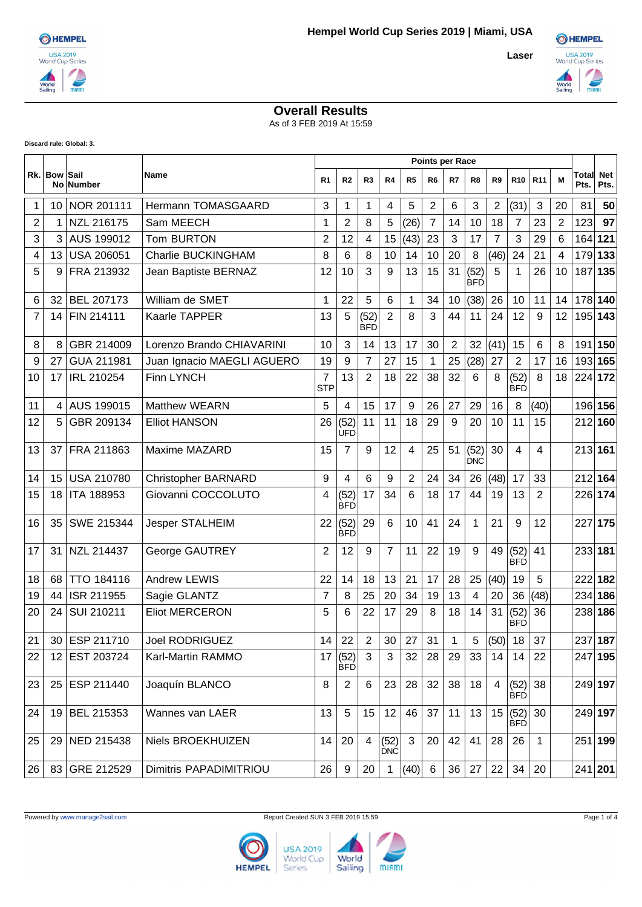**Laser**



## **Overall Results**

As of 3 FEB 2019 At 15:59

**Discard rule: Global: 3.**

|                |                   |                   |                            |                              | <b>Points per Race</b> |                  |                    |                |                  |                |                    |                |                         |                 |                |               |                    |
|----------------|-------------------|-------------------|----------------------------|------------------------------|------------------------|------------------|--------------------|----------------|------------------|----------------|--------------------|----------------|-------------------------|-----------------|----------------|---------------|--------------------|
|                | Rk. Bow Sail      | No Number         | Name                       | R <sub>1</sub>               | R <sub>2</sub>         | R <sub>3</sub>   | R4                 | R <sub>5</sub> | R <sub>6</sub>   | R7             | R8                 | R9             | <b>R10</b>              | R <sub>11</sub> | м              | Total<br>Pts. | <b>Net</b><br>Pts. |
| 1              | 10 <sup>°</sup>   | NOR 201111        | Hermann TOMASGAARD         | 3                            | 1                      | 1                | 4                  | 5              | $\boldsymbol{2}$ | 6              | 3                  | $\overline{c}$ | (31)                    | 3               | 20             | 81            | 50                 |
| 2              | 1                 | NZL 216175        | Sam MEECH                  | 1                            | $\overline{2}$         | 8                | 5                  | (26)           | $\overline{7}$   | 14             | 10                 | 18             | $\overline{7}$          | 23              | $\overline{2}$ | 123           | 97                 |
| 3              | 3                 | AUS 199012        | Tom BURTON                 | $\overline{2}$               | 12                     | 4                | 15                 | (43)           | 23               | 3              | 17                 | $\overline{7}$ | 3                       | 29              | 6              | 164           | 121                |
| 4              | 13                | <b>USA 206051</b> | <b>Charlie BUCKINGHAM</b>  | 8                            | 6                      | 8                | 10                 | 14             | 10               | 20             | 8                  | (46)           | 24                      | 21              | 4              | 179           | 133                |
| 5              | 9                 | FRA 213932        | Jean Baptiste BERNAZ       | 12                           | 10                     | 3                | 9                  | 13             | 15               | 31             | (52)<br><b>BFD</b> | 5              | $\mathbf{1}$            | 26              | 10             | 187           | 135                |
| 6              | 32                | <b>BEL 207173</b> | William de SMET            | 1                            | 22                     | 5                | 6                  | 1              | 34               | 10             | (38)               | 26             | 10                      | 11              | 14             |               | 178 140            |
| $\overline{7}$ | 14                | FIN 214111        | Kaarle TAPPER              | 13                           | 5                      | (52)<br>BFD      | $\overline{2}$     | 8              | 3                | 44             | 11                 | 24             | 12                      | 9               | 12             | 195           | 143                |
| 8              | 8                 | GBR 214009        | Lorenzo Brando CHIAVARINI  | 10                           | 3                      | 14               | 13                 | 17             | 30               | $\overline{2}$ | 32                 | (41)           | 15                      | 6               | 8              |               | 191 150            |
| 9              | 27                | GUA 211981        | Juan Ignacio MAEGLI AGUERO | 19                           | 9                      | $\overline{7}$   | 27                 | 15             | $\mathbf 1$      | 25             | (28)               | 27             | $\overline{2}$          | 17              | 16             |               | 193 165            |
| 10             | 17                | IRL 210254        | <b>Finn LYNCH</b>          | $\overline{7}$<br><b>STP</b> | 13                     | $\overline{2}$   | 18                 | 22             | 38               | 32             | 6                  | 8              | (52)<br><b>BFD</b>      | 8               | 18             | 224           | 172                |
| 11             | 4                 | AUS 199015        | <b>Matthew WEARN</b>       | 5                            | 4                      | 15               | 17                 | 9              | 26               | 27             | 29                 | 16             | 8                       | (40)            |                |               | 196 156            |
| 12             | 5                 | GBR 209134        | <b>Elliot HANSON</b>       | 26                           | (52)<br><b>ÚFD</b>     | 11               | 11                 | 18             | 29               | 9              | 20                 | 10             | 11                      | 15              |                | 212           | 160                |
| 13             | 37                | FRA 211863        | Maxime MAZARD              | 15                           | 7                      | 9                | 12                 | 4              | 25               | 51             | (52)<br><b>DNC</b> | 30             | 4                       | $\overline{4}$  |                | 213 161       |                    |
| 14             | 15                | <b>USA 210780</b> | <b>Christopher BARNARD</b> | 9                            | 4                      | 6                | 9                  | $\overline{2}$ | 24               | 34             | 26                 | (48)           | 17                      | 33              |                | 212           | 164                |
| 15             | 18                | <b>ITA 188953</b> | Giovanni COCCOLUTO         | 4                            | (52)<br><b>BFD</b>     | 17               | 34                 | 6              | 18               | 17             | 44                 | 19             | 13                      | $\overline{2}$  |                | 226           | 174                |
| 16             | 35                | SWE 215344        | Jesper STALHEIM            | 22                           | (52)<br><b>BFD</b>     | 29               | 6                  | 10             | 41               | 24             | 1                  | 21             | 9                       | 12              |                | 227           | 175                |
| 17             | 31                | NZL 214437        | George GAUTREY             | $\overline{2}$               | 12                     | 9                | $\overline{7}$     | 11             | 22               | 19             | 9                  | 49             | (52)<br><b>BFD</b>      | 41              |                | 233 181       |                    |
| 18             | 68                | <b>TTO 184116</b> | <b>Andrew LEWIS</b>        | 22                           | 14                     | 18               | 13                 | 21             | 17               | 28             | 25                 | (40)           | 19                      | 5               |                | 222           | 182                |
| 19             | 44                | ISR 211955        | Sagie GLANTZ               | 7                            | 8                      | 25               | 20                 | 34             | 19               | 13             | $\overline{4}$     | 20             | 36                      | (48)            |                | 234           | 186                |
| 20             | 24                | SUI 210211        | <b>Eliot MERCERON</b>      | 5                            | 6                      | 22               | 17                 | 29             | 8                | 18             | 14                 | 31             | (52)<br><b>BFD</b>      | 36              |                | 238           | 186                |
| 21             |                   | 30 ESP 211710     | Joel RODRIGUEZ             | 14                           | 22                     | $\overline{2}$   | 30                 | 27             | 31               | 1              | 5                  | (50)           | 18                      | 37              |                |               | 237 187            |
| 22             | $12 \overline{ }$ | EST 203724        | Karl-Martin RAMMO          | 17                           | (52)<br><b>BFD</b>     | 3                | 3                  | 32             | 28               | 29             | 33                 | 14             | 14                      | 22              |                |               | 247 195            |
| 23             | 25                | ESP 211440        | Joaquín BLANCO             | 8                            | $\overline{2}$         | $6\phantom{1}6$  | 23                 | 28             | 32               | 38             | 18                 | $\overline{4}$ | (52)<br><b>BFD</b>      | 38              |                |               | 249 197            |
| 24             | 19                | BEL 215353        | Wannes van LAER            | 13                           | 5                      | 15 <sub>15</sub> | 12                 | 46             | 37               | 11             | 13                 |                | 15   (52)<br><b>BFD</b> | 30              |                |               | 249 197            |
| 25             | 29                | <b>NED 215438</b> | Niels BROEKHUIZEN          | 14                           | 20                     | $\overline{4}$   | (52)<br><b>DNC</b> | 3              | 20 <sup>1</sup>  | 42             | 41                 | 28             | 26                      | $\mathbf{1}$    |                |               | 251 199            |
| 26             | 83                | GRE 212529        | Dimitris PAPADIMITRIOU     | 26                           | 9                      | 20               | $\mathbf{1}$       | (40)           | 6                | 36             | 27                 | 22             | 34                      | 20              |                |               | 241 201            |



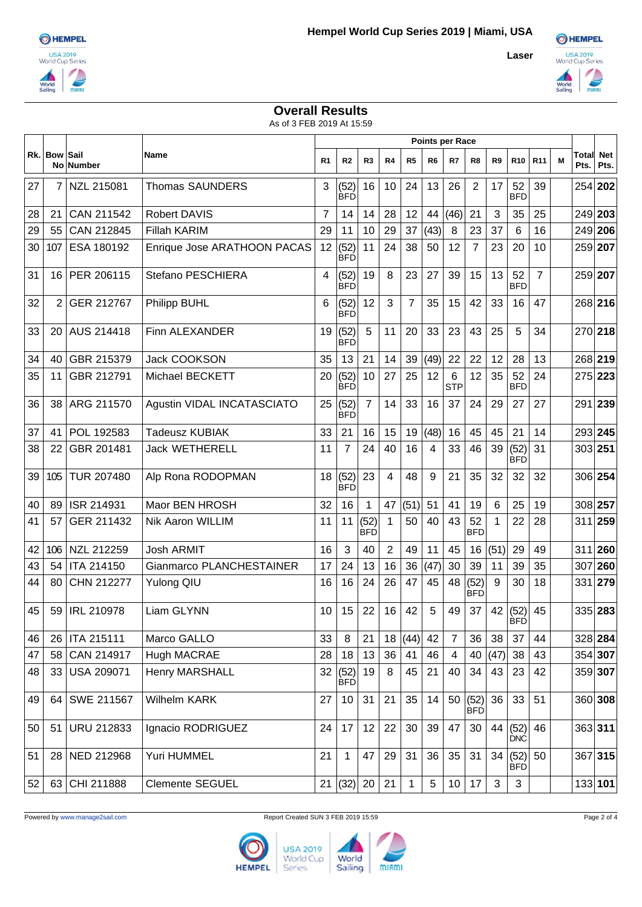

**Laser**



## **Overall Results**

As of 3 FEB 2019 At 15:59

|    |                |                          |                             | <b>Points per Race</b> |                    |                    |                |              |                |                 |                    |                |                    |                 |   |               |                    |
|----|----------------|--------------------------|-----------------------------|------------------------|--------------------|--------------------|----------------|--------------|----------------|-----------------|--------------------|----------------|--------------------|-----------------|---|---------------|--------------------|
|    | Rk. Bow        | Sail<br><b>No Number</b> | Name                        | R <sub>1</sub>         | R2                 | R <sub>3</sub>     | R4             | R5           | R <sub>6</sub> | R7              | R8                 | R <sub>9</sub> | <b>R10</b>         | R <sub>11</sub> | М | Total<br>Pts. | <b>Net</b><br>Pts. |
| 27 | $\overline{7}$ | NZL 215081               | <b>Thomas SAUNDERS</b>      | 3                      | (52)<br><b>BFD</b> | 16                 | 10             | 24           | 13             | 26              | $\overline{2}$     | 17             | 52<br><b>BFD</b>   | 39              |   | 254           | 202                |
| 28 | 21             | CAN 211542               | <b>Robert DAVIS</b>         | $\overline{7}$         | 14                 | 14                 | 28             | 12           | 44             | (46)            | 21                 | 3              | 35                 | 25              |   | 249 203       |                    |
| 29 | 55             | CAN 212845               | <b>Fillah KARIM</b>         | 29                     | 11                 | 10                 | 29             | 37           | (43)           | 8               | 23                 | 37             | 6                  | 16              |   | 249           | 206                |
| 30 | 107            | ESA 180192               | Enrique Jose ARATHOON PACAS | 12                     | (52)<br><b>BFD</b> | 11                 | 24             | 38           | 50             | 12              | 7                  | 23             | 20                 | 10              |   | 259 207       |                    |
| 31 | 16             | PER 206115               | Stefano PESCHIERA           | 4                      | (52)<br><b>BFD</b> | 19                 | 8              | 23           | 27             | 39              | 15                 | 13             | 52<br><b>BFD</b>   | $\overline{7}$  |   | 259 207       |                    |
| 32 | 2              | GER 212767               | Philipp BUHL                | 6                      | (52)<br><b>BFD</b> | 12                 | 3              | 7            | 35             | 15              | 42                 | 33             | 16                 | 47              |   | 268 216       |                    |
| 33 | 20             | AUS 214418               | Finn ALEXANDER              | 19                     | (52)<br><b>BFD</b> | 5                  | 11             | 20           | 33             | 23              | 43                 | 25             | 5                  | 34              |   | 270 218       |                    |
| 34 | 40             | GBR 215379               | <b>Jack COOKSON</b>         | 35                     | 13                 | 21                 | 14             | 39           | (49)           | 22              | 22                 | 12             | 28                 | 13              |   | 268 219       |                    |
| 35 | 11             | GBR 212791               | <b>Michael BECKETT</b>      | 20                     | (52)<br><b>BFD</b> | 10                 | 27             | 25           | 12             | 6<br><b>STP</b> | 12                 | 35             | 52<br><b>BFD</b>   | 24              |   | 275 223       |                    |
| 36 | 38             | ARG 211570               | Agustin VIDAL INCATASCIATO  | 25                     | (52)<br><b>BFD</b> | $\overline{7}$     | 14             | 33           | 16             | 37              | 24                 | 29             | 27                 | 27              |   | 291 239       |                    |
| 37 | 41             | POL 192583               | <b>Tadeusz KUBIAK</b>       | 33                     | 21                 | 16                 | 15             | 19           | (48)           | 16              | 45                 | 45             | 21                 | 14              |   | 293 245       |                    |
| 38 | 22             | GBR 201481               | <b>Jack WETHERELL</b>       | 11                     | 7                  | 24                 | 40             | 16           | 4              | 33              | 46                 | 39             | (52)<br><b>BFD</b> | 31              |   | 303 251       |                    |
| 39 | 105            | <b>TUR 207480</b>        | Alp Rona RODOPMAN           | 18                     | (52)<br><b>BFD</b> | 23                 | 4              | 48           | 9              | 21              | 35                 | 32             | 32                 | 32              |   | 306 254       |                    |
| 40 | 89             | ISR 214931               | Maor BEN HROSH              | 32                     | 16                 | $\overline{1}$     | 47             | (51)         | 51             | 41              | 19                 | 6              | 25                 | 19              |   | 308 257       |                    |
| 41 | 57             | GER 211432               | Nik Aaron WILLIM            | 11                     | 11                 | (52)<br><b>BFD</b> | $\mathbf{1}$   | 50           | 40             | 43              | 52<br><b>BFD</b>   | 1              | 22                 | 28              |   | 311           | 259                |
| 42 | 106            | NZL 212259               | Josh ARMIT                  | 16                     | 3                  | 40                 | $\overline{2}$ | 49           | 11             | 45              | 16                 | (51)           | 29                 | 49              |   | 311           | 260                |
| 43 | 54             | <b>ITA 214150</b>        | Gianmarco PLANCHESTAINER    | 17                     | 24                 | 13                 | 16             | 36           | (47)           | 30              | 39                 | 11             | 39                 | 35              |   | 307           | 260                |
| 44 | 80             | CHN 212277               | <b>Yulong QIU</b>           | 16                     | 16                 | 24                 | 26             | 47           | 45             | 48              | (52)<br><b>BFD</b> | 9              | 30                 | 18              |   | 331           | 279                |
| 45 | 59             | <b>IRL 210978</b>        | <b>Liam GLYNN</b>           | 10                     | 15                 | 22                 | 16             | 42           | 5              | 49              | 37                 | 42             | (52)<br>вьр        | 45              |   | 335 283       |                    |
| 46 | 26             | <b>ITA 215111</b>        | Marco GALLO                 | 33                     | 8                  | 21                 | 18             | (44)         | 42             | $\overline{7}$  | 36                 | 38             | 37                 | 44              |   | 328 284       |                    |
| 47 | 58             | CAN 214917               | Hugh MACRAE                 | 28                     | 18                 | 13                 | 36             | 41           | 46             | 4               | 40                 | (47)           | 38                 | 43              |   | 354 307       |                    |
| 48 | 33             | USA 209071               | <b>Henry MARSHALL</b>       | 32                     | (52)<br><b>BFD</b> | 19                 | 8              | 45           | 21             | 40              | 34                 | 43             | 23                 | 42              |   | 359 307       |                    |
| 49 | 64             | SWE 211567               | Wilhelm KARK                | 27                     | 10                 | 31                 | 21             | 35           | 14             | 50              | (52)<br><b>BFD</b> | 36             | 33                 | 51              |   | 360 308       |                    |
| 50 | 51             | <b>URU 212833</b>        | Ignacio RODRIGUEZ           | 24                     | 17                 | 12                 | 22             | 30           | 39             | 47              | 30                 | 44             | (52)<br><b>DNC</b> | 46              |   | 363 311       |                    |
| 51 | 28             | NED 212968               | Yuri HUMMEL                 | 21                     | $\mathbf{1}$       | 47                 | 29             | 31           | 36             | 35              | 31                 | 34             | (52)<br><b>BFD</b> | 50              |   | 367 315       |                    |
| 52 | 63             | CHI 211888               | <b>Clemente SEGUEL</b>      |                        | 21   (32)          | 20                 | 21             | $\mathbf{1}$ | $\sqrt{5}$     | 10 <sup>1</sup> | 17                 | 3              | 3                  |                 |   |               | 133 101            |



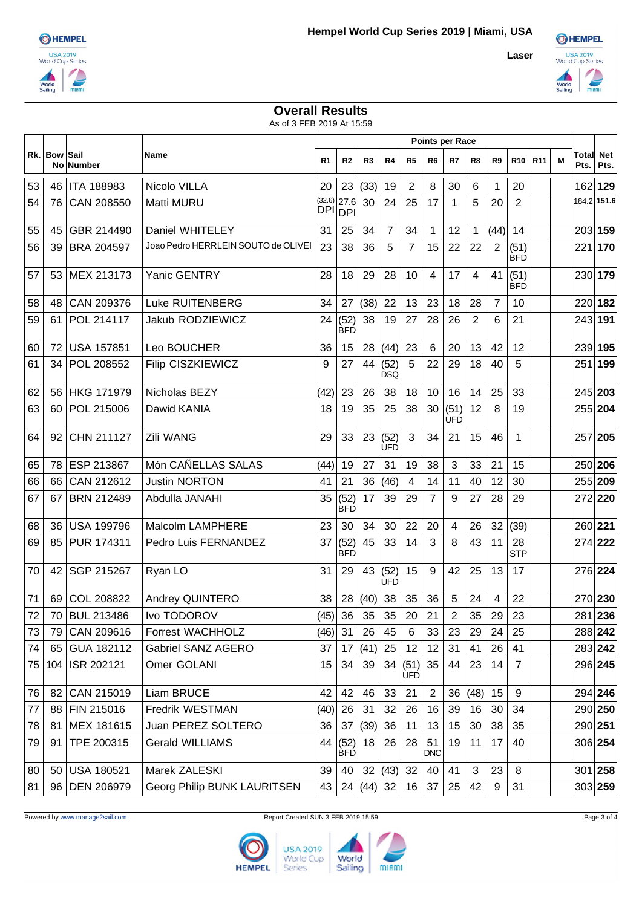

**Laser**



## **Overall Results**

As of 3 FEB 2019 At 15:59

|    |              | <b>Points per Race</b> |                                     |                |                                 |                 |                    |                         |                  |                    |                |                |                    |                 |   |               |                    |
|----|--------------|------------------------|-------------------------------------|----------------|---------------------------------|-----------------|--------------------|-------------------------|------------------|--------------------|----------------|----------------|--------------------|-----------------|---|---------------|--------------------|
|    | Rk. Bow Sail | No Number              | Name                                | R <sub>1</sub> | R <sub>2</sub>                  | R3              | R4                 | R5                      | R <sub>6</sub>   | R7                 | R8             | R9             | R <sub>10</sub>    | R <sub>11</sub> | м | Total<br>Pts. | <b>Net</b><br>Pts. |
| 53 | 46           | <b>ITA 188983</b>      | Nicolo VILLA                        | 20             | 23                              | (33)            | 19                 | $\overline{c}$          | 8                | 30                 | 6              | 1              | 20                 |                 |   | 162           | 129                |
| 54 | 76           | CAN 208550             | Matti MURU                          |                | $(32.6)$ 27.6<br><b>DPI DPI</b> | 30              | 24                 | 25                      | 17               | $\mathbf 1$        | 5              | 20             | 2                  |                 |   |               | 184.2 151.6        |
| 55 | 45           | GBR 214490             | Daniel WHITELEY                     | 31             | 25                              | 34              | $\overline{7}$     | 34                      | 1                | 12                 | 1              | (44)           | 14                 |                 |   |               | 203 159            |
| 56 | 39           | BRA 204597             | Joao Pedro HERRLEIN SOUTO de OLIVEI | 23             | 38                              | 36              | 5                  | 7                       | 15               | 22                 | 22             | 2              | (51)<br><b>BFD</b> |                 |   | 221 170       |                    |
| 57 | 53           | MEX 213173             | Yanic GENTRY                        | 28             | 18                              | 29              | 28                 | 10                      | 4                | 17                 | 4              | 41             | (51)<br><b>BFD</b> |                 |   |               | 230 179            |
| 58 | 48           | CAN 209376             | <b>Luke RUITENBERG</b>              | 34             | 27                              | (38)            | 22                 | 13                      | 23               | 18                 | 28             | $\overline{7}$ | 10                 |                 |   |               | 220 182            |
| 59 | 61           | POL 214117             | Jakub RODZIEWICZ                    | 24             | (52)<br><b>BFD</b>              | 38              | 19                 | 27                      | 28               | 26                 | $\overline{2}$ | 6              | 21                 |                 |   |               | 243 191            |
| 60 | 72           | <b>USA 157851</b>      | Leo BOUCHER                         | 36             | 15                              | 28              | (44)               | 23                      | 6                | 20                 | 13             | 42             | 12                 |                 |   |               | 239 195            |
| 61 | 34           | POL 208552             | <b>Filip CISZKIEWICZ</b>            | 9              | 27                              | 44              | (52)<br><b>DSQ</b> | 5                       | 22               | 29                 | 18             | 40             | 5                  |                 |   | 251           | 199                |
| 62 | 56           | HKG 171979             | Nicholas BEZY                       | (42)           | 23                              | 26              | 38                 | 18                      | 10               | 16                 | 14             | 25             | 33                 |                 |   |               | 245 203            |
| 63 | 60           | POL 215006             | Dawid KANIA                         | 18             | 19                              | 35              | 25                 | 38                      | 30               | (51)<br><b>UFD</b> | 12             | 8              | 19                 |                 |   | 255 204       |                    |
| 64 | 92           | CHN 211127             | Zili WANG                           | 29             | 33                              | 23              | (52)<br><b>UFD</b> | 3                       | 34               | 21                 | 15             | 46             | $\mathbf 1$        |                 |   |               | 257 205            |
| 65 | 78           | ESP 213867             | Món CAÑELLAS SALAS                  | (44)           | 19                              | 27              | 31                 | 19                      | 38               | 3                  | 33             | 21             | 15                 |                 |   |               | 250 206            |
| 66 | 66           | CAN 212612             | <b>Justin NORTON</b>                | 41             | 21                              | 36              | (46)               | $\overline{\mathbf{4}}$ | 14               | 11                 | 40             | 12             | 30                 |                 |   |               | 255 209            |
| 67 | 67           | <b>BRN 212489</b>      | Abdulla JANAHI                      | 35             | (52)<br><b>BFD</b>              | 17              | 39                 | 29                      | 7                | 9                  | 27             | 28             | 29                 |                 |   |               | 272 220            |
| 68 | 36           | <b>USA 199796</b>      | <b>Malcolm LAMPHERE</b>             | 23             | 30                              | 34              | 30                 | 22                      | 20               | 4                  | 26             | 32             | (39)               |                 |   | 260 221       |                    |
| 69 | 85           | PUR 174311             | Pedro Luis FERNANDEZ                | 37             | (52)<br><b>BFD</b>              | 45              | 33                 | 14                      | 3                | 8                  | 43             | 11             | 28<br><b>STP</b>   |                 |   |               | 274 222            |
| 70 | 42           | SGP 215267             | Ryan LO                             | 31             | 29                              | 43              | (52)<br><b>UFD</b> | 15                      | 9                | 42                 | 25             | 13             | 17                 |                 |   | 276 224       |                    |
| 71 | 69           | COL 208822             | <b>Andrey QUINTERO</b>              | 38             | 28                              | (40)            | 38                 | 35                      | 36               | 5                  | 24             | 4              | 22                 |                 |   | 270 230       |                    |
| 72 |              | 70 BUL 213486          | Ivo TODOROV                         | (45)           | 36                              | 35 <sup>°</sup> | 35                 | 20                      | 21               | $\overline{2}$     | 35             | 29             | 23                 |                 |   |               | 281 236            |
| 73 | 79           | CAN 209616             | <b>Forrest WACHHOLZ</b>             | (46)           | 31                              | 26              | 45                 | $\,6\,$                 | 33               | 23                 | 29             | 24             | 25                 |                 |   |               | 288 242            |
| 74 | 65           | GUA 182112             | Gabriel SANZ AGERO                  | 37             | 17                              | (41)            | 25                 | 12                      | 12               | 31                 | 41             | 26             | 41                 |                 |   |               | 283 242            |
| 75 | 104          | ISR 202121             | Omer GOLANI                         | 15             | 34                              | 39              | 34                 | (51)<br><b>UFD</b>      | 35               | 44                 | 23             | 14             | $\overline{7}$     |                 |   |               | 296 245            |
| 76 | 82           | CAN 215019             | Liam BRUCE                          | 42             | 42                              | 46              | 33                 | 21                      | 2                | 36                 | (48)           | 15             | 9                  |                 |   |               | 294 246            |
| 77 | 88           | FIN 215016             | Fredrik WESTMAN                     | (40)           | 26                              | 31              | 32                 | 26                      | 16               | 39                 | 16             | 30             | 34                 |                 |   |               | 290 250            |
| 78 | 81           | MEX 181615             | Juan PEREZ SOLTERO                  | 36             | 37                              | (39)            | 36                 | 11                      | 13               | 15                 | 30             | 38             | 35                 |                 |   |               | 290 251            |
| 79 | 91           | TPE 200315             | <b>Gerald WILLIAMS</b>              |                | 44 (52)<br><b>BFD</b>           | 18              | 26                 | 28                      | 51<br><b>DNC</b> | 19                 | 11             | 17             | 40                 |                 |   |               | 306 254            |
| 80 | 50           | <b>USA 180521</b>      | Marek ZALESKI                       | 39             | 40                              |                 | 32   (43)          | 32                      | 40               | 41                 | 3              | 23             | 8                  |                 |   |               | 301 258            |
| 81 | 96           | DEN 206979             | Georg Philip BUNK LAURITSEN         | 43             |                                 | 24  (44)   32   |                    | 16                      | 37               | 25                 | 42             | 9              | 31                 |                 |   |               | 303 259            |

Powered by www.manage2sail.com **Report Created SUN 3 FEB 2019 15:59** Page 3 of 4